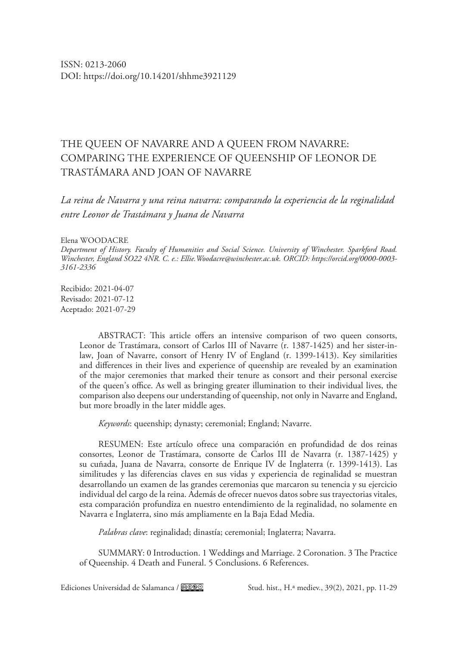# THE QUEEN OF NAVARRE AND A QUEEN FROM NAVARRE: COMPARING THE EXPERIENCE OF QUEENSHIP OF LEONOR DE TRASTÁMARA AND JOAN OF NAVARRE

*La reina de Navarra y una reina navarra: comparando la experiencia de la reginalidad entre Leonor de Trastámara y Juana de Navarra*

## Elena WOODACRE

*Department of History. Faculty of Humanities and Social Science. University of Winchester. Sparkford Road. Winchester, England SO22 4NR. C. e.: [Ellie.Woodacre@winchester.ac.uk.](mailto:Ellie.Woodacre%40winchester.ac.uk?subject=) ORCID: [https://orcid.org/0000-0003-](https://orcid.org/0000-0003-3161-2336) [3161-2336](https://orcid.org/0000-0003-3161-2336)*

Recibido: 2021-04-07 Revisado: 2021-07-12 Aceptado: 2021-07-29

> ABSTRACT: This article offers an intensive comparison of two queen consorts, Leonor de Trastámara, consort of Carlos III of Navarre (r. 1387-1425) and her sister-inlaw, Joan of Navarre, consort of Henry IV of England (r. 1399-1413). Key similarities and differences in their lives and experience of queenship are revealed by an examination of the major ceremonies that marked their tenure as consort and their personal exercise of the queen's office. As well as bringing greater illumination to their individual lives, the comparison also deepens our understanding of queenship, not only in Navarre and England, but more broadly in the later middle ages.

*Keywords*: queenship; dynasty; ceremonial; England; Navarre.

RESUMEN: Este artículo ofrece una comparación en profundidad de dos reinas consortes, Leonor de Trastámara, consorte de Carlos III de Navarra (r. 1387-1425) y su cuñada, Juana de Navarra, consorte de Enrique IV de Inglaterra (r. 1399-1413). Las similitudes y las diferencias claves en sus vidas y experiencia de reginalidad se muestran desarrollando un examen de las grandes ceremonias que marcaron su tenencia y su ejercicio individual del cargo de la reina. Además de ofrecer nuevos datos sobre sus trayectorias vitales, esta comparación profundiza en nuestro entendimiento de la reginalidad, no solamente en Navarra e Inglaterra, sino más ampliamente en la Baja Edad Media.

*Palabras clave*: reginalidad; dinastía; ceremonial; Inglaterra; Navarra.

SUMMARY: 0 Introduction. 1 Weddings and Marriage. 2 Coronation. 3 The Practice of Queenship. 4 Death and Funeral. 5 Conclusions. 6 References.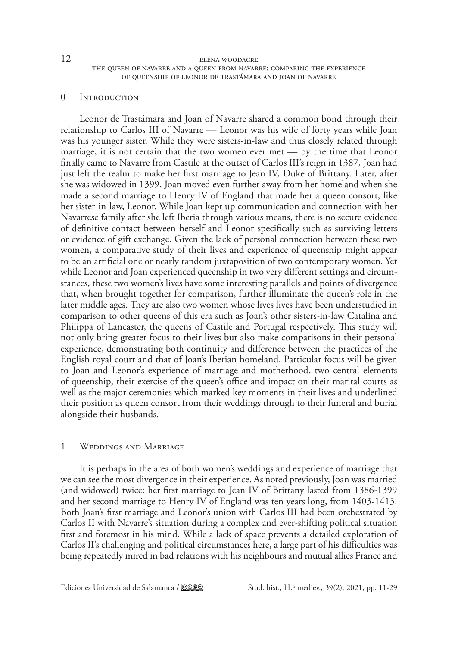# 0 Introduction

Leonor de Trastámara and Joan of Navarre shared a common bond through their relationship to Carlos III of Navarre — Leonor was his wife of forty years while Joan was his younger sister. While they were sisters-in-law and thus closely related through marriage, it is not certain that the two women ever met — by the time that Leonor finally came to Navarre from Castile at the outset of Carlos III's reign in 1387, Joan had just left the realm to make her first marriage to Jean IV, Duke of Brittany. Later, after she was widowed in 1399, Joan moved even further away from her homeland when she made a second marriage to Henry IV of England that made her a queen consort, like her sister-in-law, Leonor. While Joan kept up communication and connection with her Navarrese family after she left Iberia through various means, there is no secure evidence of definitive contact between herself and Leonor specifically such as surviving letters or evidence of gift exchange. Given the lack of personal connection between these two women, a comparative study of their lives and experience of queenship might appear to be an artificial one or nearly random juxtaposition of two contemporary women. Yet while Leonor and Joan experienced queenship in two very different settings and circumstances, these two women's lives have some interesting parallels and points of divergence that, when brought together for comparison, further illuminate the queen's role in the later middle ages. They are also two women whose lives lives have been understudied in comparison to other queens of this era such as Joan's other sisters-in-law Catalina and Philippa of Lancaster, the queens of Castile and Portugal respectively. This study will not only bring greater focus to their lives but also make comparisons in their personal experience, demonstrating both continuity and difference between the practices of the English royal court and that of Joan's Iberian homeland. Particular focus will be given to Joan and Leonor's experience of marriage and motherhood, two central elements of queenship, their exercise of the queen's office and impact on their marital courts as well as the major ceremonies which marked key moments in their lives and underlined their position as queen consort from their weddings through to their funeral and burial alongside their husbands.

# 1 Weddings and Marriage

It is perhaps in the area of both women's weddings and experience of marriage that we can see the most divergence in their experience. As noted previously, Joan was married (and widowed) twice: her first marriage to Jean IV of Brittany lasted from 1386-1399 and her second marriage to Henry IV of England was ten years long, from 1403-1413. Both Joan's first marriage and Leonor's union with Carlos III had been orchestrated by Carlos II with Navarre's situation during a complex and ever-shifting political situation first and foremost in his mind. While a lack of space prevents a detailed exploration of Carlos II's challenging and political circumstances here, a large part of his difficulties was being repeatedly mired in bad relations with his neighbours and mutual allies France and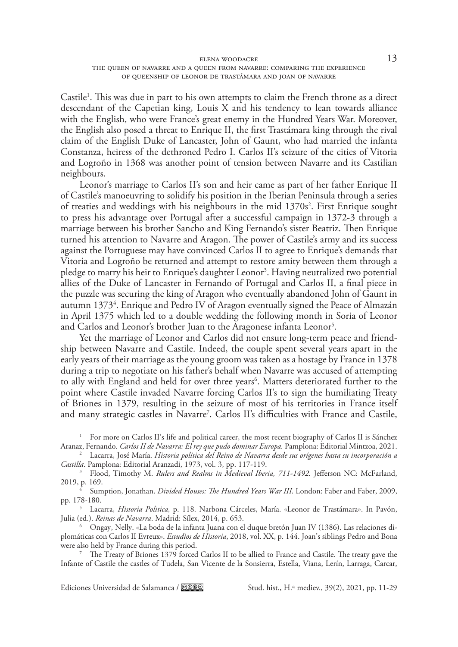### elena woodacre 13 the queen of navarre and a queen from navarre: comparing the experience of queenship of leonor de trastámara and joan of navarre

Castile<sup>1</sup>. This was due in part to his own attempts to claim the French throne as a direct descendant of the Capetian king, Louis X and his tendency to lean towards alliance with the English, who were France's great enemy in the Hundred Years War. Moreover, the English also posed a threat to Enrique II, the first Trastámara king through the rival claim of the English Duke of Lancaster, John of Gaunt, who had married the infanta Constanza, heiress of the dethroned Pedro I. Carlos II's seizure of the cities of Vitoria and Logroño in 1368 was another point of tension between Navarre and its Castilian neighbours.

Leonor's marriage to Carlos II's son and heir came as part of her father Enrique II of Castile's manoeuvring to solidify his position in the Iberian Peninsula through a series of treaties and weddings with his neighbours in the mid 1370s<sup>2</sup>. First Enrique sought to press his advantage over Portugal after a successful campaign in 1372-3 through a marriage between his brother Sancho and King Fernando's sister Beatriz. Then Enrique turned his attention to Navarre and Aragon. The power of Castile's army and its success against the Portuguese may have convinced Carlos II to agree to Enrique's demands that Vitoria and Logroño be returned and attempt to restore amity between them through a pledge to marry his heir to Enrique's daughter Leonor<sup>3</sup>. Having neutralized two potential allies of the Duke of Lancaster in Fernando of Portugal and Carlos II, a final piece in the puzzle was securing the king of Aragon who eventually abandoned John of Gaunt in autumn 1373<sup>4</sup>. Enrique and Pedro IV of Aragon eventually signed the Peace of Almazán in April 1375 which led to a double wedding the following month in Soria of Leonor and Carlos and Leonor's brother Juan to the Aragonese infanta Leonor<sup>5</sup>.

Yet the marriage of Leonor and Carlos did not ensure long-term peace and friendship between Navarre and Castile. Indeed, the couple spent several years apart in the early years of their marriage as the young groom was taken as a hostage by France in 1378 during a trip to negotiate on his father's behalf when Navarre was accused of attempting to ally with England and held for over three years<sup>6</sup>. Matters deteriorated further to the point where Castile invaded Navarre forcing Carlos II's to sign the humiliating Treaty of Briones in 1379, resulting in the seizure of most of his territories in France itself and many strategic castles in Navarre7 . Carlos II's difficulties with France and Castile,

<sup>1</sup> For more on Carlos II's life and political career, the most recent biography of Carlos II is Sánchez<br>Aranaz, Fernando. *Carlos II de Navarra: El rey que pudo dominar Europa*. Pamplona: Editorial Mintzoa, 2021.

<sup>2</sup> Lacarra, José María. Historia política del Reino de Navarra desde sus orígenes hasta su incorporación a *Castilla*. Pamplona: Editorial Aranzadi, 1973, vol. 3, pp. 117-119.

<sup>3</sup> Flood, Timothy M. *Rulers and Realms in Medieval Iberia, 711-1492*. Jefferson NC: McFarland, 2019, p. 169.

<sup>4</sup> Sumption, Jonathan. *Divided Houses: The Hundred Years War III*. London: Faber and Faber, 2009, pp. 178-180.

<sup>5</sup> Lacarra, *Historia Politica,* p. 118. Narbona Cárceles, María. «Leonor de Trastámara». In Pavón, Julia (ed.). *Reinas de Navarra*. Madrid: Sílex, 2014, p. 653.

<sup>6</sup> Ongay, Nelly. «La boda de la infanta Juana con el duque bretón Juan IV (1386). Las relaciones diplomáticas con Carlos II Evreux». *Estudios de Historia*, 2018, vol. XX, p. 144. Joan's siblings Pedro and Bona were also held by France during this period.

<sup>7</sup> The Treaty of Briones 1379 forced Carlos II to be allied to France and Castile. The treaty gave the Infante of Castile the castles of Tudela, San Vicente de la Sonsierra, Estella, Viana, Lerín, Larraga, Carcar,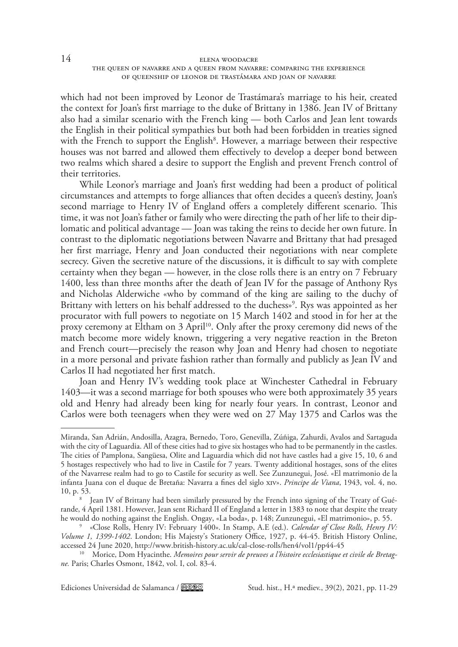which had not been improved by Leonor de Trastámara's marriage to his heir, created the context for Joan's first marriage to the duke of Brittany in 1386. Jean IV of Brittany also had a similar scenario with the French king — both Carlos and Jean lent towards the English in their political sympathies but both had been forbidden in treaties signed with the French to support the English<sup>8</sup>. However, a marriage between their respective houses was not barred and allowed them effectively to develop a deeper bond between two realms which shared a desire to support the English and prevent French control of their territories.

While Leonor's marriage and Joan's first wedding had been a product of political circumstances and attempts to forge alliances that often decides a queen's destiny, Joan's second marriage to Henry IV of England offers a completely different scenario. This time, it was not Joan's father or family who were directing the path of her life to their diplomatic and political advantage — Joan was taking the reins to decide her own future. In contrast to the diplomatic negotiations between Navarre and Brittany that had presaged her first marriage, Henry and Joan conducted their negotiations with near complete secrecy. Given the secretive nature of the discussions, it is difficult to say with complete certainty when they began — however, in the close rolls there is an entry on 7 February 1400, less than three months after the death of Jean IV for the passage of Anthony Rys and Nicholas Alderwiche «who by command of the king are sailing to the duchy of Brittany with letters on his behalf addressed to the duchess»9 . Rys was appointed as her procurator with full powers to negotiate on 15 March 1402 and stood in for her at the proxy ceremony at Eltham on 3 April<sup>10</sup>. Only after the proxy ceremony did news of the match become more widely known, triggering a very negative reaction in the Breton and French court—precisely the reason why Joan and Henry had chosen to negotiate in a more personal and private fashion rather than formally and publicly as Jean IV and Carlos II had negotiated her first match.

Joan and Henry IV's wedding took place at Winchester Cathedral in February 1403—it was a second marriage for both spouses who were both approximately 35 years old and Henry had already been king for nearly four years. In contrast, Leonor and Carlos were both teenagers when they were wed on 27 May 1375 and Carlos was the

Miranda, San Adrián, Andosilla, Azagra, Bernedo, Toro, Genevilla, Zúñiga, Zahurdi, Avalos and Sartaguda with the city of Laguardia. All of these cities had to give six hostages who had to be permanently in the castles. The cities of Pamplona, Sangüesa, Olite and Laguardia which did not have castles had a give 15, 10, 6 and 5 hostages respectively who had to live in Castile for 7 years. Twenty additional hostages, sons of the elites of the Navarrese realm had to go to Castile for security as well. See Zunzunegui, José. «El matrimonio de la infanta Juana con el duque de Bretaña: Navarra a fines del siglo xiv». *Principe de Viana*, 1943, vol. 4, no. 10, p. 53.

Jean IV of Brittany had been similarly pressured by the French into signing of the Treaty of Guérande, 4 April 1381. However, Jean sent Richard II of England a letter in 1383 to note that despite the treaty he would do nothing against the English. Ongay, «La boda», p. 148; Zunzunegui, «El matrimonio», p. 55.

<sup>9</sup> «Close Rolls, Henry IV: February 1400». In Stamp, A.E (ed.). *Calendar of Close Rolls, Henry IV: Volume 1, 1399-1402*. London; His Majesty's Stationery Office, 1927, p. 44-45. British History Online, accessed 24 June 2020, <http://www.british-history.ac.uk/cal-close-rolls/hen4/vol1/pp44-45> 10 Morice, Dom Hyacinthe. *Memoires pour servir de preuves a l'histoire ecclesiastique et civile de Bretag-*

*ne.* Paris; Charles Osmont, 1842, vol. I, col. 83-4.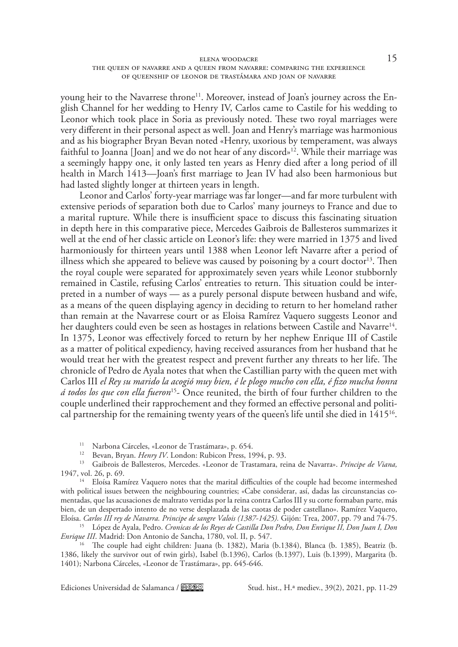#### elena woodacre 15 the queen of navarre and a queen from navarre: comparing the experience of queenship of leonor de trastámara and joan of navarre

young heir to the Navarrese throne<sup>11</sup>. Moreover, instead of Joan's journey across the English Channel for her wedding to Henry IV, Carlos came to Castile for his wedding to Leonor which took place in Soria as previously noted. These two royal marriages were very different in their personal aspect as well. Joan and Henry's marriage was harmonious and as his biographer Bryan Bevan noted «Henry, uxorious by temperament, was always faithful to Joanna [Joan] and we do not hear of any discord»<sup>12</sup>. While their marriage was a seemingly happy one, it only lasted ten years as Henry died after a long period of ill health in March 1413—Joan's first marriage to Jean IV had also been harmonious but had lasted slightly longer at thirteen years in length.

Leonor and Carlos' forty-year marriage was far longer—and far more turbulent with extensive periods of separation both due to Carlos' many journeys to France and due to a marital rupture. While there is insufficient space to discuss this fascinating situation in depth here in this comparative piece, Mercedes Gaibrois de Ballesteros summarizes it well at the end of her classic article on Leonor's life: they were married in 1375 and lived harmoniously for thirteen years until 1388 when Leonor left Navarre after a period of illness which she appeared to believe was caused by poisoning by a court doctor<sup>13</sup>. Then the royal couple were separated for approximately seven years while Leonor stubbornly remained in Castile, refusing Carlos' entreaties to return. This situation could be interpreted in a number of ways — as a purely personal dispute between husband and wife, as a means of the queen displaying agency in deciding to return to her homeland rather than remain at the Navarrese court or as Eloisa Ramírez Vaquero suggests Leonor and her daughters could even be seen as hostages in relations between Castile and Navarre<sup>14</sup>. In 1375, Leonor was effectively forced to return by her nephew Enrique III of Castile as a matter of political expediency, having received assurances from her husband that he would treat her with the greatest respect and prevent further any threats to her life. The chronicle of Pedro de Ayala notes that when the Castillian party with the queen met with Carlos III *el Rey su marido la acogió muy bien, é le plogo mucho con ella, é fizo mucha honra á todos los que con ella fueron*15- Once reunited, the birth of four further children to the couple underlined their rapprochement and they formed an effective personal and political partnership for the remaining twenty years of the queen's life until she died in  $1415^{16}$ .

<sup>11</sup> Narbona Cárceles, «Leonor de Trastámara», p. 654.<br><sup>12</sup> Bevan, Bryan. *Henry IV*. London: Rubicon Press, 1994, p. 93.

<sup>13</sup> Gaibrois de Ballesteros, Mercedes. «Leonor de Trastamara, reina de Navarra». Príncipe de Viana, 1947, vol. 26, p. 69.

<sup>14</sup> Eloísa Ramírez Vaquero notes that the marital difficulties of the couple had become intermeshed with political issues between the neighbouring countries; «Cabe considerar, así, dadas las circunstancias comentadas, que las acusaciones de maltrato vertidas por la reina contra Carlos III y su corte formaban parte, más bien, de un despertado intento de no verse desplazada de las cuotas de poder castellano». Ramírez Vaquero, Eloísa. *Carlos III rey de Navarra. Principe de sangre Valois (1387-1425).* Gijón: Trea, 2007, pp. 79 and 74-75.

<sup>15</sup> López de Ayala, Pedro. *Cronicas de los Reyes de Castilla Don Pedro, Don Enrique II, Don Juan I, Don Enrique III*. Madrid: Don Antonio de Sancha, 1780, vol. II, p. 547.

<sup>16</sup> The couple had eight children: Juana (b. 1382), Maria (b. 1384), Blanca (b. 1385), Beatriz (b. 1386, likely the survivor out of twin girls), Isabel (b.1396), Carlos (b.1397), Luis (b.1399), Margarita (b. 1401); Narbona Cárceles, «Leonor de Trastámara», pp. 645-646.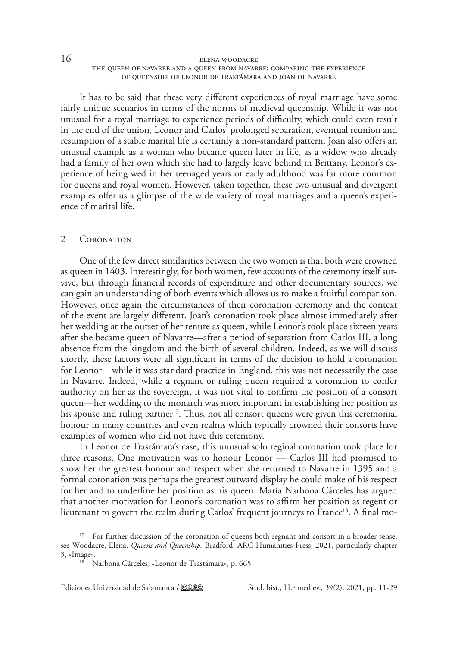It has to be said that these very different experiences of royal marriage have some fairly unique scenarios in terms of the norms of medieval queenship. While it was not unusual for a royal marriage to experience periods of difficulty, which could even result in the end of the union, Leonor and Carlos' prolonged separation, eventual reunion and resumption of a stable marital life is certainly a non-standard pattern. Joan also offers an unusual example as a woman who became queen later in life, as a widow who already had a family of her own which she had to largely leave behind in Brittany. Leonor's experience of being wed in her teenaged years or early adulthood was far more common for queens and royal women. However, taken together, these two unusual and divergent examples offer us a glimpse of the wide variety of royal marriages and a queen's experience of marital life.

# 2 CORONATION

One of the few direct similarities between the two women is that both were crowned as queen in 1403. Interestingly, for both women, few accounts of the ceremony itself survive, but through financial records of expenditure and other documentary sources, we can gain an understanding of both events which allows us to make a fruitful comparison. However, once again the circumstances of their coronation ceremony and the context of the event are largely different. Joan's coronation took place almost immediately after her wedding at the outset of her tenure as queen, while Leonor's took place sixteen years after she became queen of Navarre—after a period of separation from Carlos III, a long absence from the kingdom and the birth of several children. Indeed, as we will discuss shortly, these factors were all significant in terms of the decision to hold a coronation for Leonor—while it was standard practice in England, this was not necessarily the case in Navarre. Indeed, while a regnant or ruling queen required a coronation to confer authority on her as the sovereign, it was not vital to confirm the position of a consort queen—her wedding to the monarch was more important in establishing her position as his spouse and ruling partner<sup>17</sup>. Thus, not all consort queens were given this ceremonial honour in many countries and even realms which typically crowned their consorts have examples of women who did not have this ceremony.

In Leonor de Trastámara's case, this unusual solo reginal coronation took place for three reasons. One motivation was to honour Leonor — Carlos III had promised to show her the greatest honour and respect when she returned to Navarre in 1395 and a formal coronation was perhaps the greatest outward display he could make of his respect for her and to underline her position as his queen. María Narbona Cárceles has argued that another motivation for Leonor's coronation was to affirm her position as regent or lieutenant to govern the realm during Carlos' frequent journeys to France<sup>18</sup>. A final mo-

<sup>&</sup>lt;sup>17</sup> For further discussion of the coronation of queens both regnant and consort in a broader sense, see Woodacre, Elena. *Queens and Queenship.* Bradford: ARC Humanities Press, 2021, particularly chapter 3, «Image».

<sup>18</sup> Narbona Cárceles, «Leonor de Trastámara», p. 665.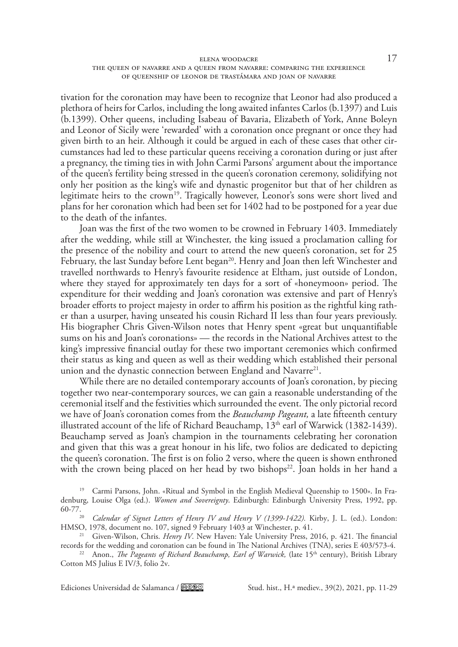## elena woodacre 17 the queen of navarre and a queen from navarre: comparing the experience of queenship of leonor de trastámara and joan of navarre

tivation for the coronation may have been to recognize that Leonor had also produced a plethora of heirs for Carlos, including the long awaited infantes Carlos (b.1397) and Luis (b.1399). Other queens, including Isabeau of Bavaria, Elizabeth of York, Anne Boleyn and Leonor of Sicily were 'rewarded' with a coronation once pregnant or once they had given birth to an heir. Although it could be argued in each of these cases that other circumstances had led to these particular queens receiving a coronation during or just after a pregnancy, the timing ties in with John Carmi Parsons' argument about the importance of the queen's fertility being stressed in the queen's coronation ceremony, solidifying not only her position as the king's wife and dynastic progenitor but that of her children as legitimate heirs to the crown<sup>19</sup>. Tragically however, Leonor's sons were short lived and plans for her coronation which had been set for 1402 had to be postponed for a year due to the death of the infantes.

Joan was the first of the two women to be crowned in February 1403. Immediately after the wedding, while still at Winchester, the king issued a proclamation calling for the presence of the nobility and court to attend the new queen's coronation, set for 25 February, the last Sunday before Lent began<sup>20</sup>. Henry and Joan then left Winchester and travelled northwards to Henry's favourite residence at Eltham, just outside of London, where they stayed for approximately ten days for a sort of «honeymoon» period. The expenditure for their wedding and Joan's coronation was extensive and part of Henry's broader efforts to project majesty in order to affirm his position as the rightful king rather than a usurper, having unseated his cousin Richard II less than four years previously. His biographer Chris Given-Wilson notes that Henry spent «great but unquantifiable sums on his and Joan's coronations» — the records in the National Archives attest to the king's impressive financial outlay for these two important ceremonies which confirmed their status as king and queen as well as their wedding which established their personal union and the dynastic connection between England and Navarre<sup>21</sup>.

While there are no detailed contemporary accounts of Joan's coronation, by piecing together two near-contemporary sources, we can gain a reasonable understanding of the ceremonial itself and the festivities which surrounded the event. The only pictorial record we have of Joan's coronation comes from the *Beauchamp Pageant,* a late fifteenth century illustrated account of the life of Richard Beauchamp,  $13<sup>th</sup>$  earl of Warwick (1382-1439). Beauchamp served as Joan's champion in the tournaments celebrating her coronation and given that this was a great honour in his life, two folios are dedicated to depicting the queen's coronation. The first is on folio 2 verso, where the queen is shown enthroned with the crown being placed on her head by two bishops<sup>22</sup>. Joan holds in her hand a

<sup>19</sup> Carmi Parsons, John. «Ritual and Symbol in the English Medieval Queenship to 1500». In Fradenburg, Louise Olga (ed.). *Women and Sovereignty*. Edinburgh: Edinburgh University Press, 1992, pp.

<sup>&</sup>lt;sup>20</sup> *Calendar of Signet Letters of Henry IV and Henry V (1399-1422).* Kirby, J. L. (ed.). London: HMSO, 1978, document no. 107, signed 9 February 1403 at Winchester, p. 41.

<sup>21</sup> Given-Wilson, Chris. *Henry IV*. New Haven: Yale University Press, 2016, p. 421. The financial records for the wedding and coronation can be found in The National Archives (TNA), series E 403/573-4.

<sup>&</sup>lt;sup>22</sup> Anon., *The Pageants of Richard Beauchamp, Earl of Warwick*, (late 15<sup>th</sup> century), British Library Cotton MS Julius E IV/3, folio 2v.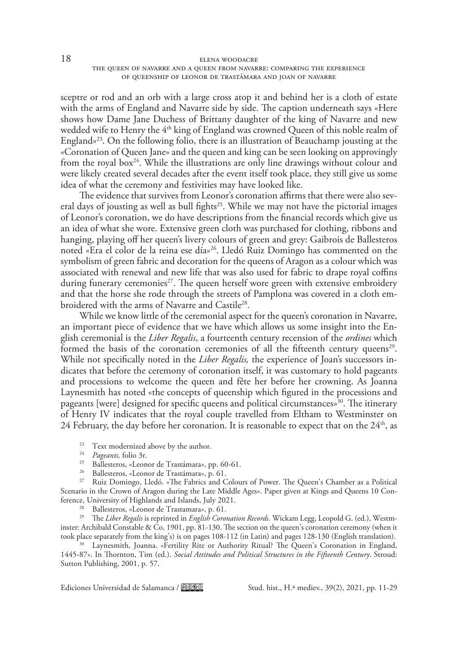sceptre or rod and an orb with a large cross atop it and behind her is a cloth of estate with the arms of England and Navarre side by side. The caption underneath says «Here shows how Dame Jane Duchess of Brittany daughter of the king of Navarre and new wedded wife to Henry the  $4<sup>th</sup>$  king of England was crowned Queen of this noble realm of England»<sup>23</sup>. On the following folio, there is an illustration of Beauchamp jousting at the «Coronation of Queen Jane» and the queen and king can be seen looking on approvingly from the royal box<sup>24</sup>. While the illustrations are only line drawings without colour and were likely created several decades after the event itself took place, they still give us some idea of what the ceremony and festivities may have looked like.

The evidence that survives from Leonor's coronation affirms that there were also several days of jousting as well as bull fights<sup>25</sup>. While we may not have the pictorial images of Leonor's coronation, we do have descriptions from the financial records which give us an idea of what she wore. Extensive green cloth was purchased for clothing, ribbons and hanging, playing off her queen's livery colours of green and grey: Gaibrois de Ballesteros noted «Era el color de la reina ese día»26. Lledó Ruiz Domingo has commented on the symbolism of green fabric and decoration for the queens of Aragon as a colour which was associated with renewal and new life that was also used for fabric to drape royal coffins during funerary ceremonies<sup>27</sup>. The queen herself wore green with extensive embroidery and that the horse she rode through the streets of Pamplona was covered in a cloth embroidered with the arms of Navarre and Castile<sup>28</sup>.

While we know little of the ceremonial aspect for the queen's coronation in Navarre, an important piece of evidence that we have which allows us some insight into the English ceremonial is the *Liber Regalis*, a fourteenth century recension of the *ordines* which formed the basis of the coronation ceremonies of all the fifteenth century queens<sup>29</sup>. While not specifically noted in the *Liber Regalis,* the experience of Joan's successors indicates that before the ceremony of coronation itself, it was customary to hold pageants and processions to welcome the queen and fête her before her crowning. As Joanna Laynesmith has noted «the concepts of queenship which figured in the processions and pageants [were] designed for specific queens and political circumstances $\delta^{30}$ . The itinerary of Henry IV indicates that the royal couple travelled from Eltham to Westminster on 24 February, the day before her coronation. It is reasonable to expect that on the  $24<sup>th</sup>$ , as

- <sup>23</sup> Text modernized above by the author. 24 *Pageants,* folio 3r.
- 
- <sup>25</sup> Ballesteros, «Leonor de Trastámara», pp. 60-61.
- <sup>26</sup> Ballesteros, «Leonor de Trastámara», p. 61.

<sup>27</sup> Ruiz Domingo, Lledó. «The Fabrics and Colours of Power. The Queen's Chamber as a Political Scenario in the Crown of Aragon during the Late Middle Ages». Paper given at Kings and Queens 10 Conference, University of Highlands and Islands, July 2021.

<sup>28</sup> Ballesteros, «Leonor de Trastamara», p. 61.

<sup>29</sup> The *Liber Regalis* is reprinted in *English Coronation Records.* Wickam Legg, Leopold G. (ed.), Westminster: Archibald Constable & Co, 1901, pp. 81-130. The section on the queen's coronation ceremony (when it took place separately from the king's) is on pages 108-112 (in Latin) and pages 128-130 (English translation).

<sup>30</sup> Laynesmith, Joanna. «Fertility Rite or Authority Ritual? The Queen's Coronation in England, 1445-87». In Thornton, Tim (ed.). *Social Attitudes and Political Structures in the Fifteenth Century*. Stroud: Sutton Publishing, 2001, p. 57.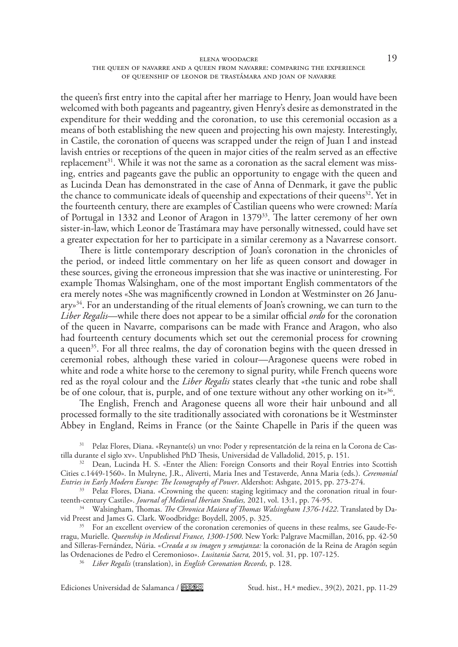#### elena woodacre 19 the queen of navarre and a queen from navarre: comparing the experience of queenship of leonor de trastámara and joan of navarre

the queen's first entry into the capital after her marriage to Henry, Joan would have been welcomed with both pageants and pageantry, given Henry's desire as demonstrated in the expenditure for their wedding and the coronation, to use this ceremonial occasion as a means of both establishing the new queen and projecting his own majesty. Interestingly, in Castile, the coronation of queens was scrapped under the reign of Juan I and instead lavish entries or receptions of the queen in major cities of the realm served as an effective replacement<sup>31</sup>. While it was not the same as a coronation as the sacral element was missing, entries and pageants gave the public an opportunity to engage with the queen and as Lucinda Dean has demonstrated in the case of Anna of Denmark, it gave the public the chance to communicate ideals of queenship and expectations of their queens $32$ . Yet in the fourteenth century, there are examples of Castilian queens who were crowned: María of Portugal in 1332 and Leonor of Aragon in 137933. The latter ceremony of her own sister-in-law, which Leonor de Trastámara may have personally witnessed, could have set a greater expectation for her to participate in a similar ceremony as a Navarrese consort.

There is little contemporary description of Joan's coronation in the chronicles of the period, or indeed little commentary on her life as queen consort and dowager in these sources, giving the erroneous impression that she was inactive or uninteresting. For example Thomas Walsingham, one of the most important English commentators of the era merely notes «She was magnificently crowned in London at Westminster on 26 Janu $ary<sub>34</sub>$ . For an understanding of the ritual elements of Joan's crowning, we can turn to the *Liber Regalis*—while there does not appear to be a similar official *ordo* for the coronation of the queen in Navarre, comparisons can be made with France and Aragon, who also had fourteenth century documents which set out the ceremonial process for crowning a queen<sup>35</sup>. For all three realms, the day of coronation begins with the queen dressed in ceremonial robes, although these varied in colour—Aragonese queens were robed in white and rode a white horse to the ceremony to signal purity, while French queens wore red as the royal colour and the *Liber Regalis* states clearly that «the tunic and robe shall be of one colour, that is, purple, and of one texture without any other working on its<sup>36</sup>.

The English, French and Aragonese queens all wore their hair unbound and all processed formally to the site traditionally associated with coronations be it Westminster Abbey in England, Reims in France (or the Sainte Chapelle in Paris if the queen was

<sup>31</sup> Pelaz Flores, Diana. «Reynante(s) un vno: Poder y representatción de la reina en la Corona de Castilla durante el siglo xv». Unpublished PhD Thesis, Universidad de Valladolid, 2015, p. 151.

<sup>32</sup> Dean, Lucinda H. S. «Enter the Alien: Foreign Consorts and their Royal Entries into Scottish Cities c.1449-1560». In Mulryne, J.R., Aliverti, Maria Ines and Testaverde, Anna Maria (eds.). *Ceremonial Entries in Early Modern Europe: The Iconography of Power*. Aldershot: Ashgate, 2015, pp. 273-274.

<sup>33</sup> Pelaz Flores, Diana. «Crowning the queen: staging legitimacy and the coronation ritual in fourteenth-century Castile». *Journal of Medieval Iberian Studies,* 2021, vol. 13:1, pp. 74-95.

<sup>34</sup> Walsingham, Thomas. *The Chronica Maiora of Thomas Walsingham 1376-1422*. Translated by David Preest and James G. Clark. Woodbridge: Boydell, 2005, p. 325.

<sup>35</sup> For an excellent overview of the coronation ceremonies of queens in these realms, see Gaude-Ferragu, Murielle. *Queenship in Medieval France, 1300-1500*. New York: Palgrave Macmillan, 2016, pp. 42-50 and Silleras-Fernández, Núria. «*Creada a su imagen y semajanza:* la coronación de la Reina de Aragón según las Ordenaciones de Pedro el Ceremonioso». *Lusitania Sacra,* 2015, vol. 31, pp. 107-125.

<sup>36</sup> *Liber Regalis* (translation), in *English Coronation Records,* p. 128.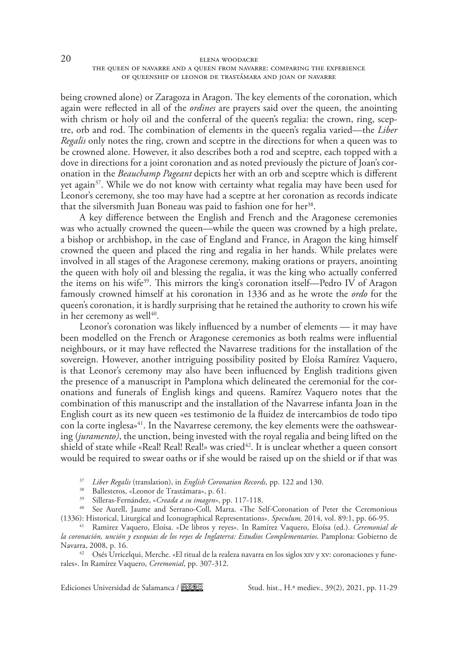being crowned alone) or Zaragoza in Aragon. The key elements of the coronation, which again were reflected in all of the *ordines* are prayers said over the queen, the anointing with chrism or holy oil and the conferral of the queen's regalia: the crown, ring, sceptre, orb and rod. The combination of elements in the queen's regalia varied—the *Liber Regalis* only notes the ring, crown and sceptre in the directions for when a queen was to be crowned alone. However, it also describes both a rod and sceptre, each topped with a dove in directions for a joint coronation and as noted previously the picture of Joan's coronation in the *Beauchamp Pageant* depicts her with an orb and sceptre which is different yet again<sup>37</sup>. While we do not know with certainty what regalia may have been used for Leonor's ceremony, she too may have had a sceptre at her coronation as records indicate that the silversmith Juan Boneau was paid to fashion one for her<sup>38</sup>.

A key difference between the English and French and the Aragonese ceremonies was who actually crowned the queen—while the queen was crowned by a high prelate, a bishop or archbishop, in the case of England and France, in Aragon the king himself crowned the queen and placed the ring and regalia in her hands. While prelates were involved in all stages of the Aragonese ceremony, making orations or prayers, anointing the queen with holy oil and blessing the regalia, it was the king who actually conferred the items on his wife<sup>39</sup>. This mirrors the king's coronation itself—Pedro IV of Aragon famously crowned himself at his coronation in 1336 and as he wrote the *ordo* for the queen's coronation, it is hardly surprising that he retained the authority to crown his wife in her ceremony as well $40$ .

Leonor's coronation was likely influenced by a number of elements — it may have been modelled on the French or Aragonese ceremonies as both realms were influential neighbours, or it may have reflected the Navarrese traditions for the installation of the sovereign. However, another intriguing possibility posited by Eloísa Ramírez Vaquero, is that Leonor's ceremony may also have been influenced by English traditions given the presence of a manuscript in Pamplona which delineated the ceremonial for the coronations and funerals of English kings and queens. Ramírez Vaquero notes that the combination of this manuscript and the installation of the Navarrese infanta Joan in the English court as its new queen «es testimonio de la fluidez de intercambios de todo tipo con la corte inglesa»<sup>41</sup>. In the Navarrese ceremony, the key elements were the oathswearing (*juramento)*, the unction, being invested with the royal regalia and being lifted on the shield of state while «Real! Real! Real!» was cried<sup>42</sup>. It is unclear whether a queen consort would be required to swear oaths or if she would be raised up on the shield or if that was

<sup>37</sup> *Liber Regalis* (translation), in *English Coronation Records,* pp. 122 and 130.

<sup>38</sup> Ballesteros, «Leonor de Trastámara», p. 61.

<sup>39</sup> Silleras-Fernández, «*Creada a su imagen*», pp. 117-118.

<sup>40</sup> See Aurell, Jaume and Serrano-Coll, Marta. «The Self-Coronation of Peter the Ceremonious (1336): Historical, Liturgical and Iconographical Representations». *Speculum*, 2014, vol. 89:1, pp. 66-95.

<sup>41</sup> Ramirez Vaquero, Eloísa. «De libros y reyes». In Ramírez Vaquero, Eloísa (ed.). *Ceremonial de la coronación, unción y exequias de los reyes de Inglaterra: Estudios Complementarios*. Pamplona: Gobierno de Navarra, 2008, p. 16.

<sup>42</sup> Osés Urricelqui, Merche. «El ritual de la realeza navarra en los siglos xiv y xv: coronaciones y funerales». In Ramírez Vaquero, *Ceremonial*, pp. 307-312.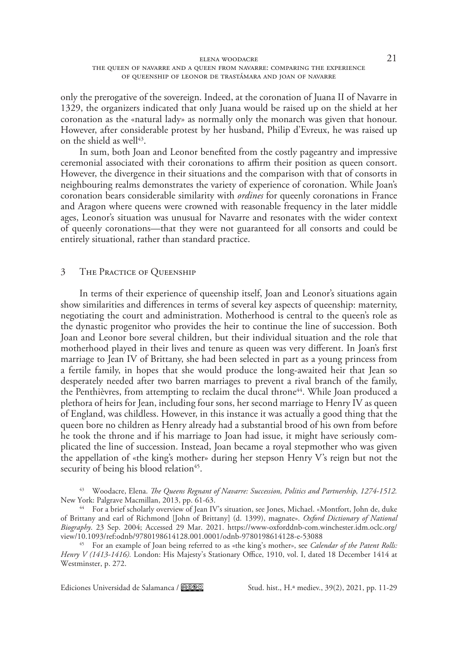## elena woodacre 21 the queen of navarre and a queen from navarre: comparing the experience of queenship of leonor de trastámara and joan of navarre

only the prerogative of the sovereign. Indeed, at the coronation of Juana II of Navarre in 1329, the organizers indicated that only Juana would be raised up on the shield at her coronation as the «natural lady» as normally only the monarch was given that honour. However, after considerable protest by her husband, Philip d'Evreux, he was raised up on the shield as well $43$ .

In sum, both Joan and Leonor benefited from the costly pageantry and impressive ceremonial associated with their coronations to affirm their position as queen consort. However, the divergence in their situations and the comparison with that of consorts in neighbouring realms demonstrates the variety of experience of coronation. While Joan's coronation bears considerable similarity with *ordines* for queenly coronations in France and Aragon where queens were crowned with reasonable frequency in the later middle ages, Leonor's situation was unusual for Navarre and resonates with the wider context of queenly coronations—that they were not guaranteed for all consorts and could be entirely situational, rather than standard practice.

# 3 The Practice of Queenship

In terms of their experience of queenship itself, Joan and Leonor's situations again show similarities and differences in terms of several key aspects of queenship: maternity, negotiating the court and administration. Motherhood is central to the queen's role as the dynastic progenitor who provides the heir to continue the line of succession. Both Joan and Leonor bore several children, but their individual situation and the role that motherhood played in their lives and tenure as queen was very different. In Joan's first marriage to Jean IV of Brittany, she had been selected in part as a young princess from a fertile family, in hopes that she would produce the long-awaited heir that Jean so desperately needed after two barren marriages to prevent a rival branch of the family, the Penthièvres, from attempting to reclaim the ducal throne<sup>44</sup>. While Joan produced a plethora of heirs for Jean, including four sons, her second marriage to Henry IV as queen of England, was childless. However, in this instance it was actually a good thing that the queen bore no children as Henry already had a substantial brood of his own from before he took the throne and if his marriage to Joan had issue, it might have seriously complicated the line of succession. Instead, Joan became a royal stepmother who was given the appellation of «the king's mother» during her stepson Henry V's reign but not the security of being his blood relation<sup>45</sup>.

<sup>43</sup> Woodacre, Elena. *The Queens Regnant of Navarre: Succession, Politics and Partnership, 1274-1512.*  New York: Palgrave Macmillan, 2013, pp. 61-63.

<sup>44</sup> For a brief scholarly overview of Jean IV's situation, see Jones, Michael. «Montfort, John de, duke of Brittany and earl of Richmond [John of Brittany] (d. 1399), magnate». *Oxford Dictionary of National Biography*. 23 Sep. 2004; Accessed 29 Mar. 2021. [https://www-oxforddnb-com.winchester.idm.oclc.org/](https://www-oxforddnb-com.winchester.idm.oclc.org/view/10.1093/ref:odnb/9780198614128.001.0001/odnb-9780198614128-e-53088)

<sup>45</sup> For an example of Joan being referred to as «the king's mother», see *Calendar of the Patent Rolls: Henry V (1413-1416).* London: His Majesty's Stationary Office, 1910, vol. I, dated 18 December 1414 at Westminster, p. 272.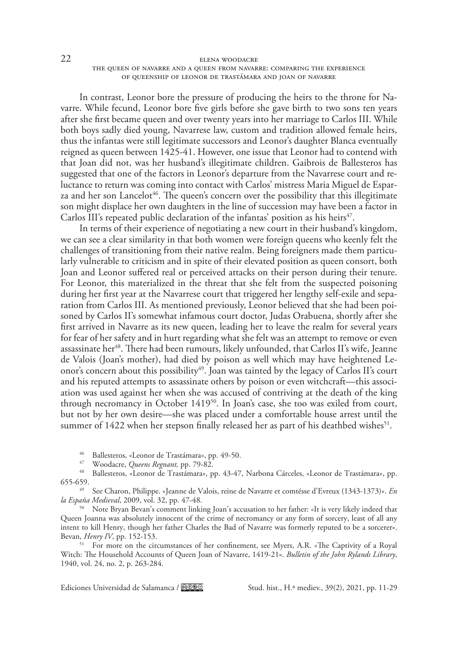In contrast, Leonor bore the pressure of producing the heirs to the throne for Navarre. While fecund, Leonor bore five girls before she gave birth to two sons ten years after she first became queen and over twenty years into her marriage to Carlos III. While both boys sadly died young, Navarrese law, custom and tradition allowed female heirs, thus the infantas were still legitimate successors and Leonor's daughter Blanca eventually reigned as queen between 1425-41. However, one issue that Leonor had to contend with that Joan did not, was her husband's illegitimate children. Gaibrois de Ballesteros has suggested that one of the factors in Leonor's departure from the Navarrese court and reluctance to return was coming into contact with Carlos' mistress Maria Miguel de Esparza and her son Lancelot<sup>46</sup>. The queen's concern over the possibility that this illegitimate son might displace her own daughters in the line of succession may have been a factor in Carlos III's repeated public declaration of the infantas' position as his heirs<sup> $47$ </sup>.

In terms of their experience of negotiating a new court in their husband's kingdom, we can see a clear similarity in that both women were foreign queens who keenly felt the challenges of transitioning from their native realm. Being foreigners made them particularly vulnerable to criticism and in spite of their elevated position as queen consort, both Joan and Leonor suffered real or perceived attacks on their person during their tenure. For Leonor, this materialized in the threat that she felt from the suspected poisoning during her first year at the Navarrese court that triggered her lengthy self-exile and separation from Carlos III. As mentioned previously, Leonor believed that she had been poisoned by Carlos II's somewhat infamous court doctor, Judas Orabuena, shortly after she first arrived in Navarre as its new queen, leading her to leave the realm for several years for fear of her safety and in hurt regarding what she felt was an attempt to remove or even assassinate her<sup>48</sup>. There had been rumours, likely unfounded, that Carlos II's wife, Jeanne de Valois (Joan's mother), had died by poison as well which may have heightened Leonor's concern about this possibility<sup>49</sup>. Joan was tainted by the legacy of Carlos II's court and his reputed attempts to assassinate others by poison or even witchcraft—this association was used against her when she was accused of contriving at the death of the king through necromancy in October 141950. In Joan's case, she too was exiled from court, but not by her own desire—she was placed under a comfortable house arrest until the summer of 1422 when her stepson finally released her as part of his deathbed wishes<sup>51</sup>.

<sup>46</sup> Ballesteros, «Leonor de Trastámara», pp. 49-50.

<sup>47</sup> Woodacre, *Queens Regnant,* pp. 79-82.

<sup>48</sup> Ballesteros, «Leonor de Trastámara», pp. 43-47, Narbona Cárceles, «Leonor de Trastámara», pp. 655-659.

<sup>49</sup> See Charon, Philippe. «Jeanne de Valois, reine de Navarre et comtésse d'Evreux (1343-1373)». *En la España Medieval*, 2009, vol. 32, pp. 47-48.

<sup>50</sup> Note Bryan Bevan's comment linking Joan's accusation to her father: «It is very likely indeed that Queen Joanna was absolutely innocent of the crime of necromancy or any form of sorcery, least of all any intent to kill Henry, though her father Charles the Bad of Navarre was formerly reputed to be a sorcerer». Bevan, *Henry IV*, pp. 152-153.

<sup>51</sup> For more on the circumstances of her confinement, see Myers, A.R. «The Captivity of a Royal Witch: The Household Accounts of Queen Joan of Navarre, 1419-21». *Bulletin of the John Rylands Library*, 1940, vol. 24, no. 2, p. 263-284.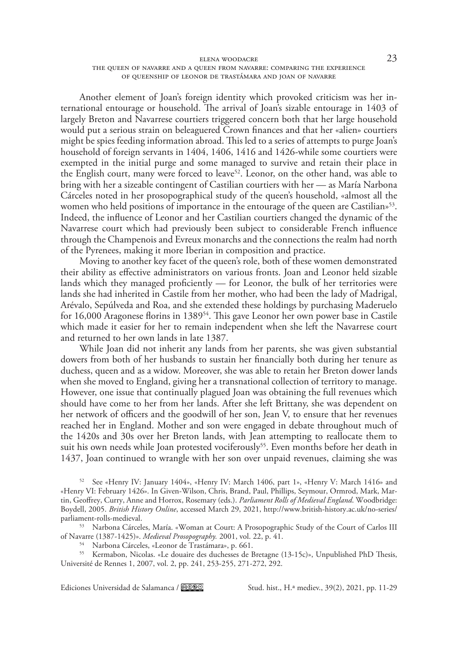### elena woodacre  $23$ the queen of navarre and a queen from navarre: comparing the experience of queenship of leonor de trastámara and joan of navarre

Another element of Joan's foreign identity which provoked criticism was her international entourage or household. The arrival of Joan's sizable entourage in 1403 of largely Breton and Navarrese courtiers triggered concern both that her large household would put a serious strain on beleaguered Crown finances and that her «alien» courtiers might be spies feeding information abroad. This led to a series of attempts to purge Joan's household of foreign servants in 1404, 1406, 1416 and 1426-while some courtiers were exempted in the initial purge and some managed to survive and retain their place in the English court, many were forced to leave<sup>52</sup>. Leonor, on the other hand, was able to bring with her a sizeable contingent of Castilian courtiers with her — as María Narbona Cárceles noted in her prosopographical study of the queen's household, «almost all the women who held positions of importance in the entourage of the queen are Castilian»<sup>53</sup>. Indeed, the influence of Leonor and her Castilian courtiers changed the dynamic of the Navarrese court which had previously been subject to considerable French influence through the Champenois and Evreux monarchs and the connections the realm had north of the Pyrenees, making it more Iberian in composition and practice.

Moving to another key facet of the queen's role, both of these women demonstrated their ability as effective administrators on various fronts. Joan and Leonor held sizable lands which they managed proficiently — for Leonor, the bulk of her territories were lands she had inherited in Castile from her mother, who had been the lady of Madrigal, Arévalo, Sepúlveda and Roa, and she extended these holdings by purchasing Maderuelo for 16,000 Aragonese florins in 1389<sup>54</sup>. This gave Leonor her own power base in Castile which made it easier for her to remain independent when she left the Navarrese court and returned to her own lands in late 1387.

While Joan did not inherit any lands from her parents, she was given substantial dowers from both of her husbands to sustain her financially both during her tenure as duchess, queen and as a widow. Moreover, she was able to retain her Breton dower lands when she moved to England, giving her a transnational collection of territory to manage. However, one issue that continually plagued Joan was obtaining the full revenues which should have come to her from her lands. After she left Brittany, she was dependent on her network of officers and the goodwill of her son, Jean V, to ensure that her revenues reached her in England. Mother and son were engaged in debate throughout much of the 1420s and 30s over her Breton lands, with Jean attempting to reallocate them to suit his own needs while Joan protested vociferously<sup>55</sup>. Even months before her death in 1437, Joan continued to wrangle with her son over unpaid revenues, claiming she was

<sup>52</sup> See «Henry IV: January 1404», «Henry IV: March 1406, part 1», «Henry V: March 1416» and «Henry VI: February 1426». In Given-Wilson, Chris, Brand, Paul, Phillips, Seymour, Ormrod, Mark, Martin, Geoffrey, Curry, Anne and Horrox, Rosemary (eds.). *Parliament Rolls of Medieval England*. Woodbridge: Boydell, 2005. *British History Online*, accessed March 29, 2021, [http://www.british-history.ac.uk/no-series/](http://www.british-history.ac.uk/no-series/parliament-rolls-medieval) [parliament-rolls-medieval.](http://www.british-history.ac.uk/no-series/parliament-rolls-medieval)

<sup>53</sup> Narbona Cárceles, María. «Woman at Court: A Prosopographic Study of the Court of Carlos III of Navarre (1387-1425)». *Medieval Prosopography.* 2001, vol. 22, p. 41.

<sup>54</sup> Narbona Cárceles, «Leonor de Trastámara», p. 661.

<sup>55</sup> Kermabon, Nicolas. «Le douaire des duchesses de Bretagne (13-15c)», Unpublished PhD Thesis, Université de Rennes 1, 2007, vol. 2, pp. 241, 253-255, 271-272, 292.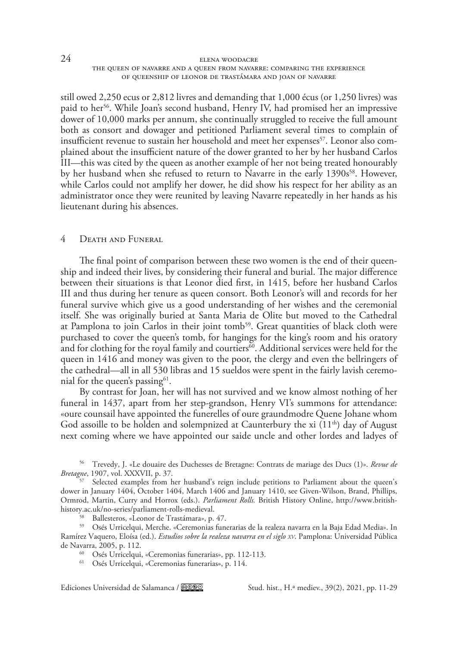still owed 2,250 ecus or 2,812 livres and demanding that 1,000 écus (or 1,250 livres) was paid to her<sup>56</sup>. While Joan's second husband, Henry IV, had promised her an impressive dower of 10,000 marks per annum, she continually struggled to receive the full amount both as consort and dowager and petitioned Parliament several times to complain of insufficient revenue to sustain her household and meet her expenses $57$ . Leonor also complained about the insufficient nature of the dower granted to her by her husband Carlos III—this was cited by the queen as another example of her not being treated honourably by her husband when she refused to return to Navarre in the early 1390s<sup>58</sup>. However, while Carlos could not amplify her dower, he did show his respect for her ability as an administrator once they were reunited by leaving Navarre repeatedly in her hands as his lieutenant during his absences.

## 4 Death and Funeral

The final point of comparison between these two women is the end of their queenship and indeed their lives, by considering their funeral and burial. The major difference between their situations is that Leonor died first, in 1415, before her husband Carlos III and thus during her tenure as queen consort. Both Leonor's will and records for her funeral survive which give us a good understanding of her wishes and the ceremonial itself. She was originally buried at Santa Maria de Olite but moved to the Cathedral at Pamplona to join Carlos in their joint tomb<sup>59</sup>. Great quantities of black cloth were purchased to cover the queen's tomb, for hangings for the king's room and his oratory and for clothing for the royal family and courtiers $\delta$ <sup>0</sup>. Additional services were held for the queen in 1416 and money was given to the poor, the clergy and even the bellringers of the cathedral—all in all 530 libras and 15 sueldos were spent in the fairly lavish ceremonial for the queen's passing $61$ .

By contrast for Joan, her will has not survived and we know almost nothing of her funeral in 1437, apart from her step-grandson, Henry VI's summons for attendance: «oure counsail have appointed the funerelles of oure graundmodre Quene Johane whom God assoille to be holden and solempnized at Caunterbury the xi (11<sup>th</sup>) day of August next coming where we have appointed our saide uncle and other lordes and ladyes of

<sup>56</sup> Trevedy, J. «Le douaire des Duchesses de Bretagne: Contrats de mariage des Ducs (1)». *Revue de Bretagne*, 1907, vol. XXXVII, p. 37.

58 Ballesteros, «Leonor de Trastámara», p. 47.

<sup>59</sup> Osés Urricelqui, Merche. «Ceremonias funerarias de la realeza navarra en la Baja Edad Media». In Ramírez Vaquero, Eloísa (ed.). *Estudios sobre la realeza navarra en el siglo xv*. Pamplona: Universidad Pública de Navarra, 2005, p. 112.

<sup>60</sup> Osés Urricelqui, «Ceremonias funerarias», pp. 112-113.

<sup>61</sup> Osés Urricelqui, «Ceremonias funerarias», p. 114.

<sup>&</sup>lt;sup>57</sup> Selected examples from her husband's reign include petitions to Parliament about the queen's dower in January 1404, October 1404, March 1406 and January 1410, see Given-Wilson, Brand, Phillips, Ormrod, Martin, Curry and Horrox (eds.). *Parliament Rolls.* British History Online, [http://www.british-](http://www.british-history.ac.uk/no-series/parliament-rolls-medieval)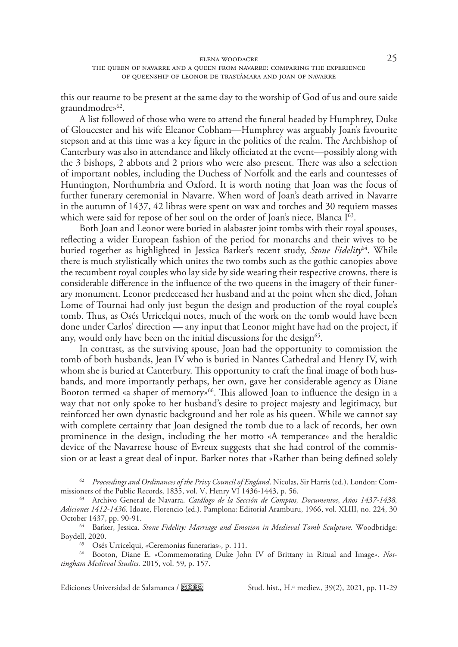this our reaume to be present at the same day to the worship of God of us and oure saide graundmodre»<sup>62</sup>.

A list followed of those who were to attend the funeral headed by Humphrey, Duke of Gloucester and his wife Eleanor Cobham—Humphrey was arguably Joan's favourite stepson and at this time was a key figure in the politics of the realm. The Archbishop of Canterbury was also in attendance and likely officiated at the event—possibly along with the 3 bishops, 2 abbots and 2 priors who were also present. There was also a selection of important nobles, including the Duchess of Norfolk and the earls and countesses of Huntington, Northumbria and Oxford. It is worth noting that Joan was the focus of further funerary ceremonial in Navarre. When word of Joan's death arrived in Navarre in the autumn of 1437, 42 libras were spent on wax and torches and 30 requiem masses which were said for repose of her soul on the order of Joan's niece, Blanca  $\bar{I}^{63}$ .

Both Joan and Leonor were buried in alabaster joint tombs with their royal spouses, reflecting a wider European fashion of the period for monarchs and their wives to be buried together as highlighted in Jessica Barker's recent study, *Stone Fidelity*64. While there is much stylistically which unites the two tombs such as the gothic canopies above the recumbent royal couples who lay side by side wearing their respective crowns, there is considerable difference in the influence of the two queens in the imagery of their funerary monument. Leonor predeceased her husband and at the point when she died, Johan Lome of Tournai had only just begun the design and production of the royal couple's tomb. Thus, as Osés Urricelqui notes, much of the work on the tomb would have been done under Carlos' direction — any input that Leonor might have had on the project, if any, would only have been on the initial discussions for the design<sup>65</sup>.

In contrast, as the surviving spouse, Joan had the opportunity to commission the tomb of both husbands, Jean IV who is buried in Nantes Cathedral and Henry IV, with whom she is buried at Canterbury. This opportunity to craft the final image of both husbands, and more importantly perhaps, her own, gave her considerable agency as Diane Booton termed «a shaper of memory»<sup>66</sup>. This allowed Joan to influence the design in a way that not only spoke to her husband's desire to project majesty and legitimacy, but reinforced her own dynastic background and her role as his queen. While we cannot say with complete certainty that Joan designed the tomb due to a lack of records, her own prominence in the design, including the her motto «A temperance» and the heraldic device of the Navarrese house of Evreux suggests that she had control of the commission or at least a great deal of input. Barker notes that «Rather than being defined solely

<sup>62</sup> *Proceedings and Ordinances of the Privy Council of England*. Nicolas, Sir Harris (ed.). London: Commissioners of the Public Records, 1835, vol. V, Henry VI 1436-1443, p. 56.

<sup>63</sup> Archivo General de Navarra. *Catálogo de la Sección de Comptos, Documentos*, *Años 1437-1438, Adiciones 1412-1436*. Idoate, Florencio (ed.). Pamplona: Editorial Aramburu, 1966, vol. XLIII, no. 224, 30 October 1437, pp. 90-91.

<sup>64</sup> Barker, Jessica. *Stone Fidelity: Marriage and Emotion in Medieval Tomb Sculpture.* Woodbridge: Boydell, 2020.

<sup>65</sup> Osés Urricelqui, «Ceremonias funerarias», p. 111.

<sup>66</sup> Booton, Diane E. «Commemorating Duke John IV of Brittany in Ritual and Image». *Nottingham Medieval Studies.* 2015, vol. 59, p. 157.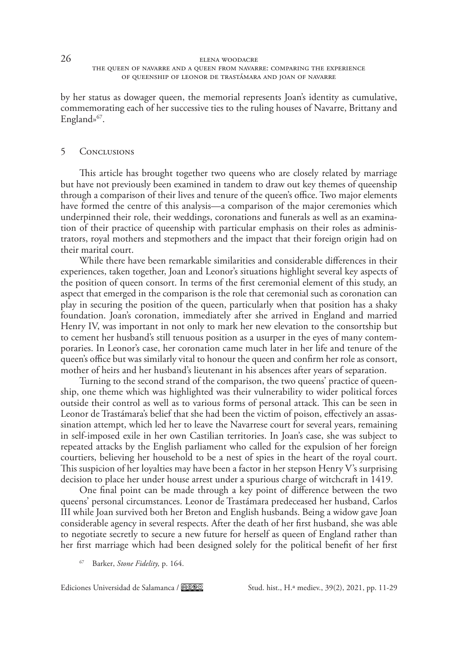by her status as dowager queen, the memorial represents Joan's identity as cumulative, commemorating each of her successive ties to the ruling houses of Navarre, Brittany and England»<sup>67</sup>.

# 5 Conclusions

This article has brought together two queens who are closely related by marriage but have not previously been examined in tandem to draw out key themes of queenship through a comparison of their lives and tenure of the queen's office. Two major elements have formed the centre of this analysis—a comparison of the major ceremonies which underpinned their role, their weddings, coronations and funerals as well as an examination of their practice of queenship with particular emphasis on their roles as administrators, royal mothers and stepmothers and the impact that their foreign origin had on their marital court.

While there have been remarkable similarities and considerable differences in their experiences, taken together, Joan and Leonor's situations highlight several key aspects of the position of queen consort. In terms of the first ceremonial element of this study, an aspect that emerged in the comparison is the role that ceremonial such as coronation can play in securing the position of the queen, particularly when that position has a shaky foundation. Joan's coronation, immediately after she arrived in England and married Henry IV, was important in not only to mark her new elevation to the consortship but to cement her husband's still tenuous position as a usurper in the eyes of many contemporaries. In Leonor's case, her coronation came much later in her life and tenure of the queen's office but was similarly vital to honour the queen and confirm her role as consort, mother of heirs and her husband's lieutenant in his absences after years of separation.

Turning to the second strand of the comparison, the two queens' practice of queenship, one theme which was highlighted was their vulnerability to wider political forces outside their control as well as to various forms of personal attack. This can be seen in Leonor de Trastámara's belief that she had been the victim of poison, effectively an assassination attempt, which led her to leave the Navarrese court for several years, remaining in self-imposed exile in her own Castilian territories. In Joan's case, she was subject to repeated attacks by the English parliament who called for the expulsion of her foreign courtiers, believing her household to be a nest of spies in the heart of the royal court. This suspicion of her loyalties may have been a factor in her stepson Henry V's surprising decision to place her under house arrest under a spurious charge of witchcraft in 1419.

One final point can be made through a key point of difference between the two queens' personal circumstances. Leonor de Trastámara predeceased her husband, Carlos III while Joan survived both her Breton and English husbands. Being a widow gave Joan considerable agency in several respects. After the death of her first husband, she was able to negotiate secretly to secure a new future for herself as queen of England rather than her first marriage which had been designed solely for the political benefit of her first

<sup>67</sup> Barker, *Stone Fidelity,* p. 164.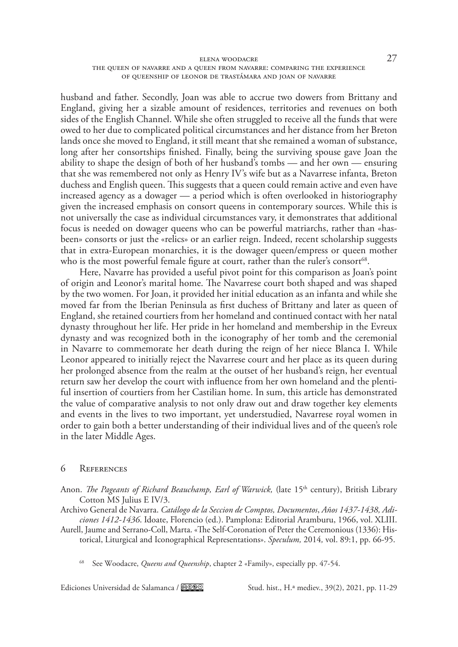## elena woodacre 27 the queen of navarre and a queen from navarre: comparing the experience of queenship of leonor de trastámara and joan of navarre

husband and father. Secondly, Joan was able to accrue two dowers from Brittany and England, giving her a sizable amount of residences, territories and revenues on both sides of the English Channel. While she often struggled to receive all the funds that were owed to her due to complicated political circumstances and her distance from her Breton lands once she moved to England, it still meant that she remained a woman of substance, long after her consortships finished. Finally, being the surviving spouse gave Joan the ability to shape the design of both of her husband's tombs — and her own — ensuring that she was remembered not only as Henry IV's wife but as a Navarrese infanta, Breton duchess and English queen. This suggests that a queen could remain active and even have increased agency as a dowager — a period which is often overlooked in historiography given the increased emphasis on consort queens in contemporary sources. While this is not universally the case as individual circumstances vary, it demonstrates that additional focus is needed on dowager queens who can be powerful matriarchs, rather than «hasbeen» consorts or just the «relics» or an earlier reign. Indeed, recent scholarship suggests that in extra-European monarchies, it is the dowager queen/empress or queen mother who is the most powerful female figure at court, rather than the ruler's consort<sup>68</sup>.

Here, Navarre has provided a useful pivot point for this comparison as Joan's point of origin and Leonor's marital home. The Navarrese court both shaped and was shaped by the two women. For Joan, it provided her initial education as an infanta and while she moved far from the Iberian Peninsula as first duchess of Brittany and later as queen of England, she retained courtiers from her homeland and continued contact with her natal dynasty throughout her life. Her pride in her homeland and membership in the Evreux dynasty and was recognized both in the iconography of her tomb and the ceremonial in Navarre to commemorate her death during the reign of her niece Blanca I. While Leonor appeared to initially reject the Navarrese court and her place as its queen during her prolonged absence from the realm at the outset of her husband's reign, her eventual return saw her develop the court with influence from her own homeland and the plentiful insertion of courtiers from her Castilian home. In sum, this article has demonstrated the value of comparative analysis to not only draw out and draw together key elements and events in the lives to two important, yet understudied, Navarrese royal women in order to gain both a better understanding of their individual lives and of the queen's role in the later Middle Ages.

## 6 References

- Anon. *The Pageants of Richard Beauchamp, Earl of Warwick*, (late 15<sup>th</sup> century), British Library Cotton MS Julius E IV/3.
- Archivo General de Navarra. *Catálogo de la Seccion de Comptos, Documentos*, *Años 1437-1438, Adiciones 1412-1436*. Idoate, Florencio (ed.). Pamplona: Editorial Aramburu, 1966, vol. XLIII.
- Aurell, Jaume and Serrano-Coll, Marta. «The Self-Coronation of Peter the Ceremonious (1336): Historical, Liturgical and Iconographical Representations». *Speculum,* 2014*,* vol. 89:1, pp. 66-95.

<sup>68</sup> See Woodacre, *Queens and Queenship*, chapter 2 «Family», especially pp. 47-54.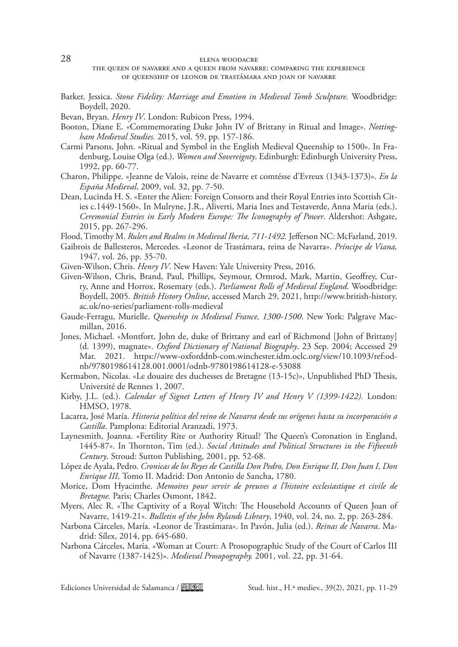## 28 elena woodacre

- Barker, Jessica. *Stone Fidelity: Marriage and Emotion in Medieval Tomb Sculpture.* Woodbridge: Boydell, 2020.
- Bevan, Bryan. *Henry IV*. London: Rubicon Press, 1994.
- Booton, Diane E. «Commemorating Duke John IV of Brittany in Ritual and Image». *Nottingham Medieval Studies.* 2015, vol. 59, pp. 157-186.
- Carmi Parsons, John. «Ritual and Symbol in the English Medieval Queenship to 1500». In Fradenburg, Louise Olga (ed.). *Women and Sovereignty*. Edinburgh: Edinburgh University Press, 1992, pp. 60-77.
- Charon, Philippe. «Jeanne de Valois, reine de Navarre et comtésse d'Evreux (1343-1373)». *En la España Medieval*, 2009, vol. 32, pp. 7-50.
- Dean, Lucinda H. S. «Enter the Alien: Foreign Consorts and their Royal Entries into Scottish Cities c.1449-1560». In Mulryne, J.R., Aliverti, Maria Ines and Testaverde, Anna Maria (eds.). *Ceremonial Entries in Early Modern Europe: The Iconography of Power*. Aldershot: Ashgate, 2015, pp. 267-296.

Flood, Timothy M. *Rulers and Realms in Medieval Iberia, 711-1492.* Jefferson NC: McFarland, 2019.

- Gaibrois de Ballesteros, Mercedes. «Leonor de Trastámara, reina de Navarra». *Príncipe de Viana,*  1947, vol. 26, pp. 35-70.
- Given-Wilson, Chris. *Henry IV*. New Haven: Yale University Press, 2016.
- Given-Wilson, Chris, Brand, Paul, Phillips, Seymour, Ormrod, Mark, Martin, Geoffrey, Curry, Anne and Horrox, Rosemary (eds.). *Parliament Rolls of Medieval England*. Woodbridge: Boydell, 2005. *British History Online*, accessed March 29, 2021, [http://www.british-history.](http://www.british-history.ac.uk/no-series/parliament-rolls-medieval) [ac.uk/no-series/parliament-rolls-medieval](http://www.british-history.ac.uk/no-series/parliament-rolls-medieval)
- Gaude-Ferragu, Murielle. *Queenship in Medieval France, 1300-1500*. New York: Palgrave Macmillan, 2016.
- Jones, Michael. «Montfort, John de, duke of Brittany and earl of Richmond [John of Brittany] (d. 1399), magnate». *Oxford Dictionary of National Biography*. 23 Sep. 2004; Accessed 29 Mar. 2021. [https://www-oxforddnb-com.winchester.idm.oclc.org/view/10.1093/ref:od](https://www-oxforddnb-com.winchester.idm.oclc.org/view/10.1093/ref:odnb/9780198614128.001.0001/odnb-9780198614128-e-53088)[nb/9780198614128.001.0001/odnb-9780198614128-e-53088](https://www-oxforddnb-com.winchester.idm.oclc.org/view/10.1093/ref:odnb/9780198614128.001.0001/odnb-9780198614128-e-53088)
- Kermabon, Nicolas. «Le douaire des duchesses de Bretagne (13-15c)», Unpublished PhD Thesis, Université de Rennes 1, 2007.
- Kirby, J.L. (ed.). *Calendar of Signet Letters of Henry IV and Henry V (1399-1422).* London: HMSO, 1978.
- Lacarra, José María. *Historia política del reino de Navarra desde sus orígenes hasta su incorporación a Castilla*. Pamplona: Editorial Aranzadi, 1973.
- Laynesmith, Joanna. «Fertility Rite or Authority Ritual? The Queen's Coronation in England, 1445-87». In Thornton, Tim (ed.). *Social Attitudes and Political Structures in the Fifteenth Century*. Stroud: Sutton Publishing, 2001, pp. 52-68.
- López de Ayala, Pedro. *Cronicas de los Reyes de Castilla Don Pedro, Don Enrique II, Don Juan I, Don Enrique III,* Tomo II. Madrid: Don Antonio de Sancha, 1780.
- Morice, Dom Hyacinthe. *Memoires pour servir de preuves a l'histoire ecclesiastique et civile de Bretagne.* Paris; Charles Osmont, 1842.
- Myers, Alec R. «The Captivity of a Royal Witch: The Household Accounts of Queen Joan of Navarre, 1419-21». *Bulletin of the John Rylands Library*, 1940, vol. 24, no. 2, pp. 263-284.
- Narbona Cárceles, María. «Leonor de Trastámara». In Pavón, Julia (ed.). *Reinas de Navarra*. Madrid: Sílex, 2014, pp. 645-680.
- Narbona Cárceles, María. «Woman at Court: A Prosopographic Study of the Court of Carlos III of Navarre (1387-1425)». *Medieval Prosopography.* 2001, vol. 22, pp. 31-64.

the queen of navarre and a queen from navarre: comparing the experience of queenship of leonor de trastámara and joan of navarre